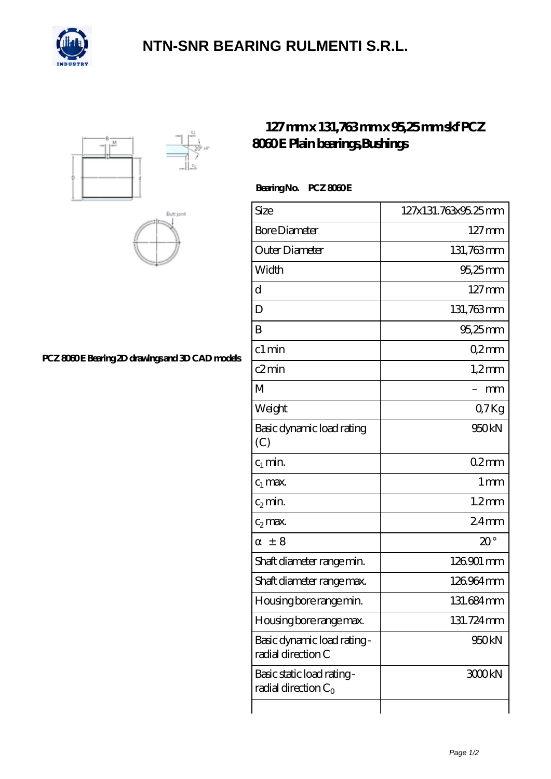

## **[NTN-SNR BEARING RULMENTI S.R.L.](https://m.confidencemenimprov.com)**





### [PCZ 8060 E Bearing 2D drawings and 3D CAD models](https://m.confidencemenimprov.com/pic-64974570.html)

### **[127 mm x 131,763 mm x 95,25 mm skf PCZ](https://m.confidencemenimprov.com/bj-64974570-skf-pcz-8060-e-plain-bearings-bushings.html) [8060 E Plain bearings,Bushings](https://m.confidencemenimprov.com/bj-64974570-skf-pcz-8060-e-plain-bearings-bushings.html)**

#### Bearing No. PCZ 8060E

| Size                                                 | 127x131.763x95.25mm |
|------------------------------------------------------|---------------------|
| <b>Bore Diameter</b>                                 | $127 \,\mathrm{mm}$ |
| Outer Diameter                                       | 131,763mm           |
| Width                                                | 95,25 mm            |
| d                                                    | $127 \text{mm}$     |
| D                                                    | 131,763mm           |
| B                                                    | 95,25mm             |
| c1 min                                               | Q2mm                |
| c2min                                                | $1,2$ mm            |
| M                                                    | mm                  |
| Weight                                               | Q7Kg                |
| Basic dynamic load rating<br>(C)                     | 950kN               |
| $c_1$ min.                                           | $02$ mm             |
| $c_1$ max.                                           | 1 <sub>mm</sub>     |
| $c_2$ min.                                           | $1.2$ mm            |
| $c_2$ max.                                           | 24 <sub>mm</sub>    |
| $\pm$ 8                                              | $20^{\circ}$        |
| Shaft diameter range min.                            | 126901 mm           |
| Shaft diameter range max.                            | 126964mm            |
| Housing bore range min.                              | 131.684mm           |
| Housing bore range max.                              | 131.724mm           |
| Basic dynamic load rating -<br>radial direction C    | 950kN               |
| Basic static load rating -<br>radial direction $C_0$ | 3000kN              |
|                                                      |                     |